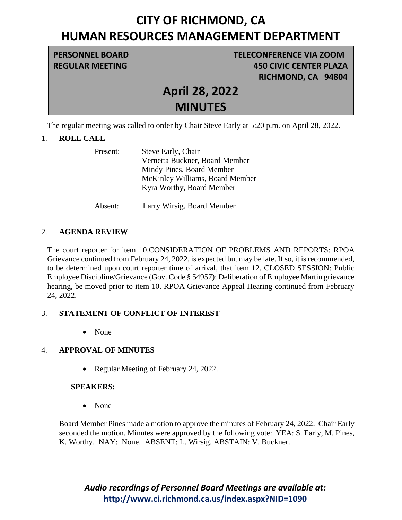# **CITY OF RICHMOND, CA HUMAN RESOURCES MANAGEMENT DEPARTMENT**

## **PERSONNEL BOARD TELECONFERENCE VIA ZOOM REGULAR MEETING 450 CIVIC CENTER PLAZA RICHMOND, CA 94804**

## **April 28, 2022 MINUTES**

The regular meeting was called to order by Chair Steve Early at 5:20 p.m. on April 28, 2022.

### 1. **ROLL CALL**

| Present: | Steve Early, Chair              |
|----------|---------------------------------|
|          | Vernetta Buckner, Board Member  |
|          | Mindy Pines, Board Member       |
|          | McKinley Williams, Board Member |
|          | Kyra Worthy, Board Member       |
|          |                                 |

Absent: Larry Wirsig, Board Member

#### 2. **AGENDA REVIEW**

The court reporter for item 10.CONSIDERATION OF PROBLEMS AND REPORTS: RPOA Grievance continued from February 24, 2022, is expected but may be late. If so, it is recommended, to be determined upon court reporter time of arrival, that item 12. CLOSED SESSION: Public Employee Discipline/Grievance (Gov. Code § 54957): Deliberation of Employee Martin grievance hearing, be moved prior to item 10. RPOA Grievance Appeal Hearing continued from February 24, 2022.

### 3. **STATEMENT OF CONFLICT OF INTEREST**

• None

### 4. **APPROVAL OF MINUTES**

• Regular Meeting of February 24, 2022.

#### **SPEAKERS:**

• None

Board Member Pines made a motion to approve the minutes of February 24, 2022. Chair Early seconded the motion. Minutes were approved by the following vote: YEA: S. Early, M. Pines, K. Worthy. NAY: None. ABSENT: L. Wirsig. ABSTAIN: V. Buckner.

*Audio recordings of Personnel Board Meetings are available at:* **http://www.ci.richmond.ca.us/index.aspx?NID=1090**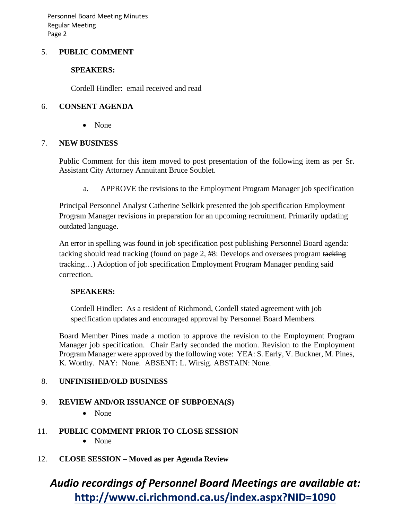Personnel Board Meeting Minutes Regular Meeting Page 2

#### 5. **PUBLIC COMMENT**

#### **SPEAKERS:**

Cordell Hindler:email received and read

#### 6. **CONSENT AGENDA**

• None

#### 7. **NEW BUSINESS**

Public Comment for this item moved to post presentation of the following item as per Sr. Assistant City Attorney Annuitant Bruce Soublet.

a. APPROVE the revisions to the Employment Program Manager job specification

Principal Personnel Analyst Catherine Selkirk presented the job specification Employment Program Manager revisions in preparation for an upcoming recruitment. Primarily updating outdated language.

An error in spelling was found in job specification post publishing Personnel Board agenda: tacking should read tracking (found on page 2, #8: Develops and oversees program tacking tracking…) Adoption of job specification Employment Program Manager pending said correction.

#### **SPEAKERS:**

Cordell Hindler: As a resident of Richmond, Cordell stated agreement with job specification updates and encouraged approval by Personnel Board Members.

Board Member Pines made a motion to approve the revision to the Employment Program Manager job specification. Chair Early seconded the motion. Revision to the Employment Program Manager were approved by the following vote: YEA: S. Early, V. Buckner, M. Pines, K. Worthy. NAY: None. ABSENT: L. Wirsig. ABSTAIN: None.

#### 8. **UNFINISHED/OLD BUSINESS**

#### 9. **REVIEW AND/OR ISSUANCE OF SUBPOENA(S)**

- None
- 11. **PUBLIC COMMENT PRIOR TO CLOSE SESSION**
	- None
- 12. **CLOSE SESSION – Moved as per Agenda Review**

## *Audio recordings of Personnel Board Meetings are available at:* **http://www.ci.richmond.ca.us/index.aspx?NID=1090**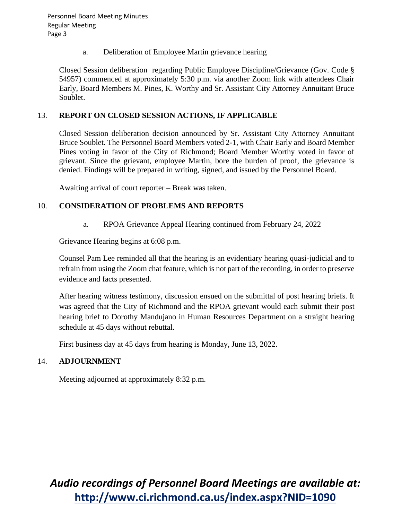a. Deliberation of Employee Martin grievance hearing

Closed Session deliberation regarding Public Employee Discipline/Grievance (Gov. Code § 54957) commenced at approximately 5:30 p.m. via another Zoom link with attendees Chair Early, Board Members M. Pines, K. Worthy and Sr. Assistant City Attorney Annuitant Bruce Soublet.

#### 13. **REPORT ON CLOSED SESSION ACTIONS, IF APPLICABLE**

Closed Session deliberation decision announced by Sr. Assistant City Attorney Annuitant Bruce Soublet. The Personnel Board Members voted 2-1, with Chair Early and Board Member Pines voting in favor of the City of Richmond; Board Member Worthy voted in favor of grievant. Since the grievant, employee Martin, bore the burden of proof, the grievance is denied. Findings will be prepared in writing, signed, and issued by the Personnel Board.

Awaiting arrival of court reporter – Break was taken.

#### 10. **CONSIDERATION OF PROBLEMS AND REPORTS**

a. RPOA Grievance Appeal Hearing continued from February 24, 2022

Grievance Hearing begins at 6:08 p.m.

Counsel Pam Lee reminded all that the hearing is an evidentiary hearing quasi-judicial and to refrain from using the Zoom chat feature, which is not part of the recording, in order to preserve evidence and facts presented.

After hearing witness testimony, discussion ensued on the submittal of post hearing briefs. It was agreed that the City of Richmond and the RPOA grievant would each submit their post hearing brief to Dorothy Mandujano in Human Resources Department on a straight hearing schedule at 45 days without rebuttal.

First business day at 45 days from hearing is Monday, June 13, 2022.

#### 14. **ADJOURNMENT**

Meeting adjourned at approximately 8:32 p.m.

*Audio recordings of Personnel Board Meetings are available at:* **http://www.ci.richmond.ca.us/index.aspx?NID=1090**